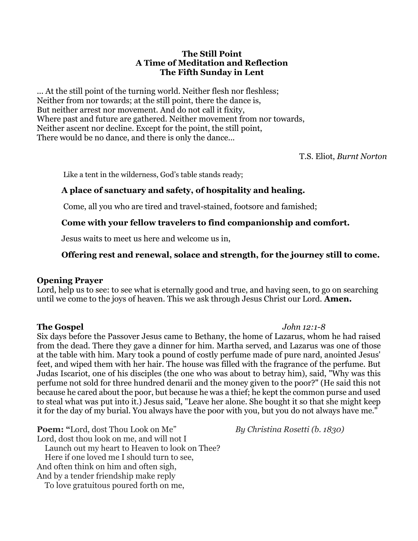### **The Still Point A Time of Meditation and Reflection The Fifth Sunday in Lent**

... At the still point of the turning world. Neither flesh nor fleshless; Neither from nor towards; at the still point, there the dance is, But neither arrest nor movement. And do not call it fixity, Where past and future are gathered. Neither movement from nor towards, Neither ascent nor decline. Except for the point, the still point, There would be no dance, and there is only the dance...

T.S. Eliot, *Burnt Norton*

Like a tent in the wilderness, God's table stands ready;

## **A place of sanctuary and safety, of hospitality and healing.**

Come, all you who are tired and travel-stained, footsore and famished;

## **Come with your fellow travelers to find companionship and comfort.**

Jesus waits to meet us here and welcome us in,

# **Offering rest and renewal, solace and strength, for the journey still to come.**

## **Opening Prayer**

Lord, help us to see: to see what is eternally good and true, and having seen, to go on searching until we come to the joys of heaven. This we ask through Jesus Christ our Lord. **Amen.**

## **The Gospel** *John 12:1-8*

Six days before the Passover Jesus came to Bethany, the home of Lazarus, whom he had raised from the dead. There they gave a dinner for him. Martha served, and Lazarus was one of those at the table with him. Mary took a pound of costly perfume made of pure nard, anointed Jesus' feet, and wiped them with her hair. The house was filled with the fragrance of the perfume. But Judas Iscariot, one of his disciples (the one who was about to betray him), said, "Why was this perfume not sold for three hundred denarii and the money given to the poor?" (He said this not because he cared about the poor, but because he was a thief; he kept the common purse and used to steal what was put into it.) Jesus said, "Leave her alone. She bought it so that she might keep it for the day of my burial. You always have the poor with you, but you do not always have me."

**Poem:** "Lord, dost Thou Look on Me" *By Christina Rosetti (b. 1830)* Lord, dost thou look on me, and will not I Launch out my heart to Heaven to look on Thee? Here if one loved me I should turn to see, And often think on him and often sigh, And by a tender friendship make reply

To love gratuitous poured forth on me,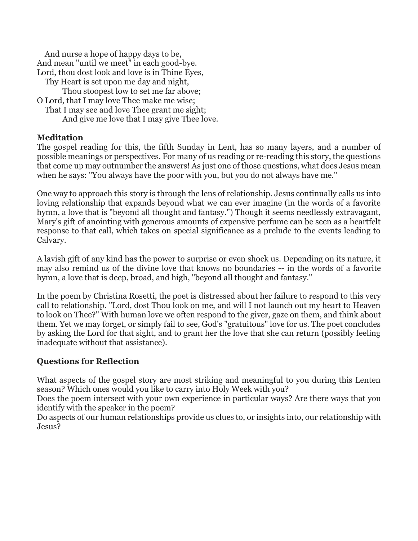And nurse a hope of happy days to be, And mean "until we meet" in each good-bye. Lord, thou dost look and love is in Thine Eyes, Thy Heart is set upon me day and night, Thou stoopest low to set me far above; O Lord, that I may love Thee make me wise; That I may see and love Thee grant me sight; And give me love that I may give Thee love.

## **Meditation**

The gospel reading for this, the fifth Sunday in Lent, has so many layers, and a number of possible meanings or perspectives. For many of us reading or re-reading this story, the questions that come up may outnumber the answers! As just one of those questions, what does Jesus mean when he says: "You always have the poor with you, but you do not always have me."

One way to approach this story is through the lens of relationship. Jesus continually calls us into loving relationship that expands beyond what we can ever imagine (in the words of a favorite hymn, a love that is "beyond all thought and fantasy.") Though it seems needlessly extravagant, Mary's gift of anointing with generous amounts of expensive perfume can be seen as a heartfelt response to that call, which takes on special significance as a prelude to the events leading to Calvary.

A lavish gift of any kind has the power to surprise or even shock us. Depending on its nature, it may also remind us of the divine love that knows no boundaries -- in the words of a favorite hymn, a love that is deep, broad, and high, "beyond all thought and fantasy."

In the poem by Christina Rosetti, the poet is distressed about her failure to respond to this very call to relationship. "Lord, dost Thou look on me, and will I not launch out my heart to Heaven to look on Thee?" With human love we often respond to the giver, gaze on them, and think about them. Yet we may forget, or simply fail to see, God's "gratuitous" love for us. The poet concludes by asking the Lord for that sight, and to grant her the love that she can return (possibly feeling inadequate without that assistance).

## **Questions for Reflection**

What aspects of the gospel story are most striking and meaningful to you during this Lenten season? Which ones would you like to carry into Holy Week with you?

Does the poem intersect with your own experience in particular ways? Are there ways that you identify with the speaker in the poem?

Do aspects of our human relationships provide us clues to, or insights into, our relationship with Jesus?